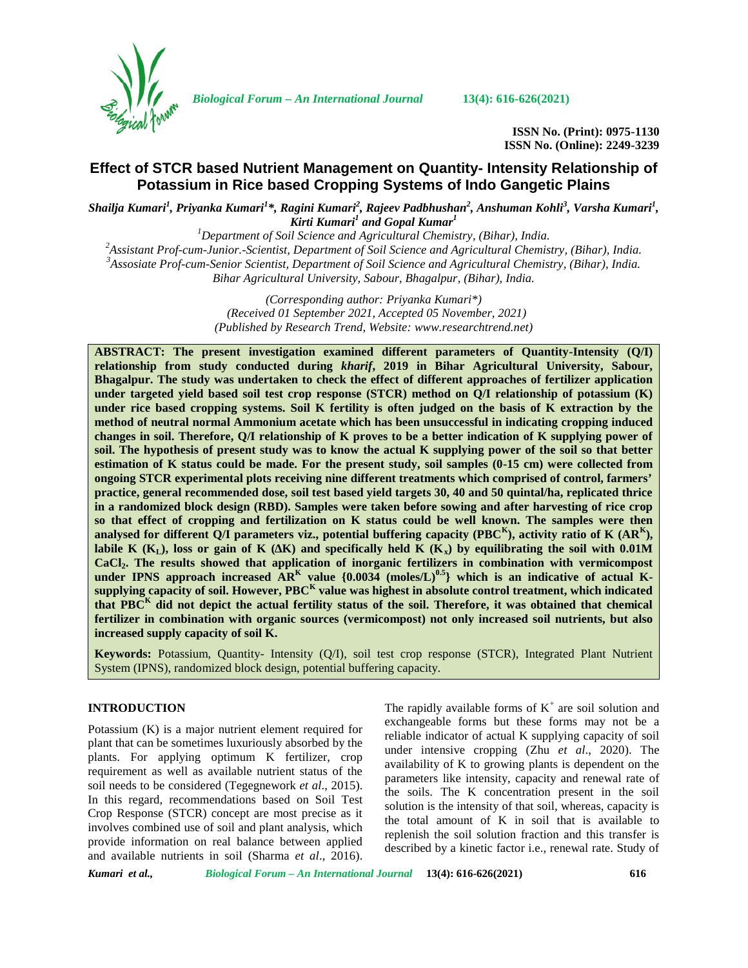

*Biological Forum – An International Journal* **13(4): 616-626(2021)**

**ISSN No. (Print): 0975-1130 ISSN No. (Online): 2249-3239**

# **Effect of STCR based Nutrient Management on Quantity- Intensity Relationship of Potassium in Rice based Cropping Systems of Indo Gangetic Plains**

*Shailja Kumari<sup>1</sup> , Priyanka Kumari<sup>1</sup>\*, Ragini Kumari<sup>2</sup> , Rajeev Padbhushan<sup>2</sup> , Anshuman Kohli<sup>3</sup> , Varsha Kumari<sup>1</sup> , Kirti Kumari<sup>1</sup> and Gopal Kumar<sup>1</sup><br><sup>1</sup>Department of Soil Science and Agricultural Chemistry, (Bihar), India.* 

<sup>2</sup>Assistant Prof-cum-Junior.-Scientist, Department of Soil Science and Agricultural Chemistry, (Bihar), India.<br><sup>3</sup>Assosiate Prof-cum-Senior Scientist, Department of Soil Science and Agricultural Chemistry, (Bihar), India. *Bihar Agricultural University, Sabour, Bhagalpur, (Bihar), India.*

> *(Corresponding author: Priyanka Kumari\*) (Received 01 September 2021, Accepted 05 November, 2021) (Published by Research Trend, Website: [www.researchtrend.net\)](www.researchtrend.net)*

**ABSTRACT: The present investigation examined different parameters of Quantity-Intensity (Q/I) relationship from study conducted during** *kharif***, 2019 in Bihar Agricultural University, Sabour, Bhagalpur. The study was undertaken to check the effect of different approaches of fertilizer application under targeted yield based soil test crop response (STCR) method on Q/I relationship of potassium (K) under rice based cropping systems. Soil K fertility is often judged on the basis of K extraction by the method of neutral normal Ammonium acetate which has been unsuccessful in indicating cropping induced changes in soil. Therefore, Q/I relationship of K proves to be a better indication of K supplying power of soil. The hypothesis of present study was to know the actual K supplying power of the soil so that better estimation of K status could be made. For the present study, soil samples (0-15 cm) were collected from ongoing STCR experimental plots receiving nine different treatments which comprised of control, farmers' practice, general recommended dose, soil test based yield targets 30, 40 and 50 quintal/ha, replicated thrice in a randomized block design (RBD). Samples were taken before sowing and after harvesting of rice crop so that effect of cropping and fertilization on K status could be well known. The samples were then** analysed for different Q/I parameters viz., potential buffering capacity (PBC<sup>K</sup>), activity ratio of K (AR<sup>K</sup>), **labile K** ( $K_L$ ), loss or gain of K ( $\overline{K}$ ) and specifically held K ( $K_x$ ) by equilibrating the soil with 0.01M **CaCl2. The results showed that application of inorganic fertilizers in combination with vermicompost under IPNS approach increased AR<sup>K</sup> value {0.0034 (moles/L)0.5} which is an indicative of actual K-**  $\bf{supplying\ capacity\ of\ soil.\ However, PBC}^K$  value was highest in absolute control treatment, which indicated  $\bf{|}$ **that PBC<sup>K</sup> did not depict the actual fertility status of the soil. Therefore, it was obtained that chemical fertilizer in combination with organic sources (vermicompost) not only increased soil nutrients, but also increased supply capacity of soil K.**

**Keywords:** Potassium, Quantity- Intensity (Q/I), soil test crop response (STCR), Integrated Plant Nutrient System (IPNS), randomized block design, potential buffering capacity.

## **INTRODUCTION**

Potassium (K) is a major nutrient element required for plant that can be sometimes luxuriously absorbed by the plants. For applying optimum K fertilizer, crop requirement as well as available nutrient status of the soil needs to be considered (Tegegnework *et al*., 2015). In this regard, recommendations based on Soil Test Crop Response (STCR) concept are most precise as it involves combined use of soil and plant analysis, which provide information on real balance between applied and available nutrients in soil (Sharma *et al*., 2016). The rapidly available forms of  $K^+$  are soil solution and exchangeable forms but these forms may not be a reliable indicator of actual K supplying capacity of soil under intensive cropping (Zhu *et al*., 2020). The availability of K to growing plants is dependent on the parameters like intensity, capacity and renewal rate of the soils. The K concentration present in the soil solution is the intensity of that soil, whereas, capacity is the total amount of K in soil that is available to replenish the soil solution fraction and this transfer is described by a kinetic factor i.e., renewal rate. Study of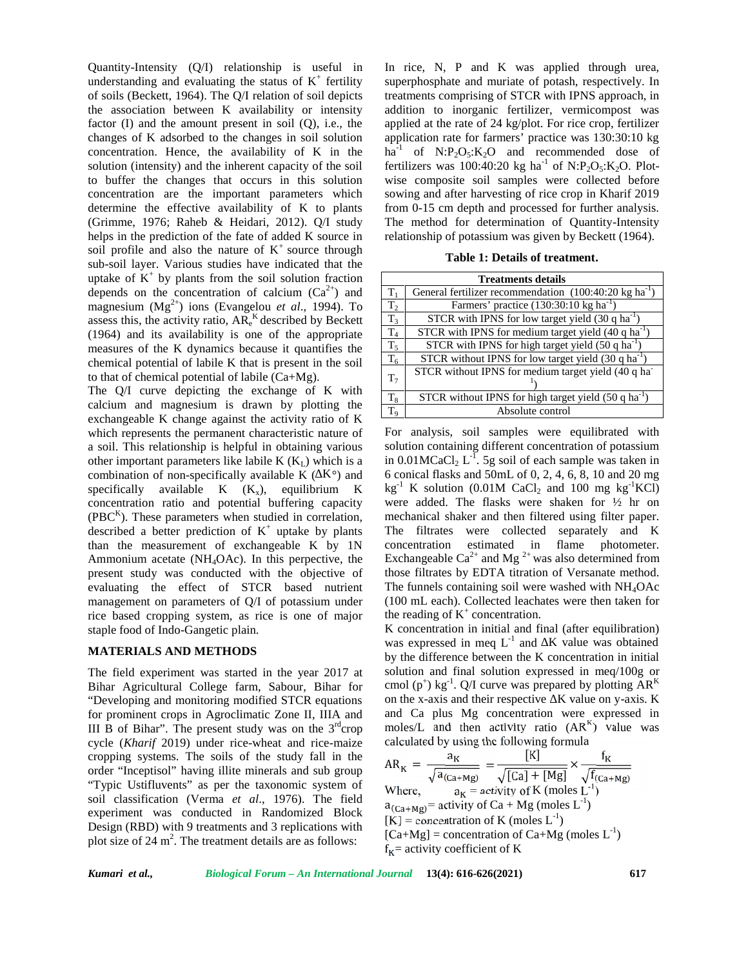Quantity-Intensity (Q/I) relationship is useful in understanding and evaluating the status of  $K^+$  fertility super of soils (Beckett, 1964). The Q/I relation of soil depicts the association between K availability or intensity factor  $(I)$  and the amount present in soil  $(Q)$ , i.e., the changes of K adsorbed to the changes in soil solution concentration. Hence, the availability of K in the solution (intensity) and the inherent capacity of the soil to buffer the changes that occurs in this solution concentration are the important parameters which determine the effective availability of K to plants (Grimme, 1976; Raheb & Heidari, 2012). Q/I study helps in the prediction of the fate of added K source in soil profile and also the nature of  $K^+$  source through sub-soil layer. Various studies have indicated that the uptake of  $K^+$  by plants from the soil solution fraction depends on the concentration of calcium  $(Ca^{2+})$  and magnesium (Mg<sup>2+</sup>) ions (Evangelou *et al.*, 1994). To assess this, the activity ratio,  $AR_e^{K}$  described by Beckett (1964) and its availability is one of the appropriate measures of the K dynamics because it quantifies the chemical potential of labile K that is present in the soil to that of chemical potential of labile (Ca+Mg).

The Q/I curve depicting the exchange of K with calcium and magnesium is drawn by plotting the exchangeable K change against the activity ratio of K which represents the permanent characteristic nature of a soil. This relationship is helpful in obtaining various other important parameters like labile  $K(K_1)$  which is a combination of non-specifically available K ( $K^{\circ}$ ) and specifically available  $K$   $(K_x)$ , equilibrium  $K$ concentration ratio and potential buffering capacity  $(PBC<sup>K</sup>)$ . These parameters when studied in correlation, described a better prediction of  $K^+$  uptake by plants than the measurement of exchangeable K by 1N Ammonium acetate (NH4OAc). In this perpective, the present study was conducted with the objective of evaluating the effect of STCR based nutrient management on parameters of Q/I of potassium under rice based cropping system, as rice is one of major staple food of Indo-Gangetic plain.

### **MATERIALS AND METHODS**

The field experiment was started in the year 2017 at Bihar Agricultural College farm, Sabour, Bihar for "Developing and monitoring modified STCR equations for prominent crops in Agroclimatic Zone II, IIIA and III B of Bihar". The present study was on the  $3<sup>rd</sup>$ crop cycle (*Kharif* 2019) under rice-wheat and rice-maize cropping systems. The soils of the study fall in the order "Inceptisol" having illite minerals and sub group "Typic Ustifluvents" as per the taxonomic system of soil classification (Verma *et al*., 1976). The field experiment was conducted in Randomized Block Design (RBD) with 9 treatments and 3 replications with plot size of  $24 \text{ m}^2$ . The treatment details are as follows:

In rice, N, P and K was applied through urea, superphosphate and muriate of potash, respectively. In treatments comprising of STCR with IPNS approach, in addition to inorganic fertilizer, vermicompost was applied at the rate of 24 kg/plot. For rice crop, fertilizer application rate for farmers' practice was 130:30:10 kg ha<sup>-1</sup> of N:P<sub>2</sub>O<sub>5</sub>:K<sub>2</sub>O and recommended dose of fertilizers was 100:40:20 kg ha<sup>-1</sup> of N:P<sub>2</sub>O<sub>5</sub>:K<sub>2</sub>O. Plotwise composite soil samples were collected before sowing and after harvesting of rice crop in Kharif 2019 from 0-15 cm depth and processed for further analysis. The method for determination of Quantity-Intensity relationship of potassium was given by Beckett (1964).

**Table 1: Details of treatment.**

| <b>Treatments details</b> |                                                                    |  |  |  |  |
|---------------------------|--------------------------------------------------------------------|--|--|--|--|
| T.                        | General fertilizer recommendation $(100:40:20 \text{ kg ha}^{-1})$ |  |  |  |  |
| T <sub>2</sub>            | Farmers' practice (130:30:10 kg ha <sup>-1</sup> )                 |  |  |  |  |
| $T_3$                     | STCR with IPNS for low target yield $(30 \text{ q ha}^{-1})$       |  |  |  |  |
| $T_4$                     | STCR with IPNS for medium target yield $(40q)$ ha <sup>-1</sup>    |  |  |  |  |
| $T_5$                     | STCR with IPNS for high target yield $(50 q ha-1)$                 |  |  |  |  |
| $T_6$                     | STCR without IPNS for low target yield $(30 \text{ q ha}^{-1})$    |  |  |  |  |
| T <sub>7</sub>            | STCR without IPNS for medium target yield (40 q ha                 |  |  |  |  |
| $T_8$                     | STCR without IPNS for high target yield (50 q ha <sup>-1</sup> )   |  |  |  |  |
| T <sub>9</sub>            | Absolute control                                                   |  |  |  |  |

For analysis, soil samples were equilibrated with solution containing different concentration of potassium in  $0.01 \text{MCaCl}_2$   $L^{-1}$ . 5g soil of each sample was taken in 6 conical flasks and 50mL of 0, 2, 4, 6, 8, 10 and 20 mg  $kg^{-1}$  K solution (0.01M CaCl<sub>2</sub> and 100 mg kg<sup>-1</sup>KCl) were added. The flasks were shaken for ½ hr on mechanical shaker and then filtered using filter paper. The filtrates were collected separately and K concentration estimated in flame photometer. Exchangeable  $Ca^{2+}$  and Mg<sup>2+</sup> was also determined from those filtrates by EDTA titration of Versanate method. The funnels containing soil were washed with  $NH<sub>4</sub>OAc$ (100 mL each). Collected leachates were then taken for the reading of  $K^+$  concentration.

K concentration in initial and final (after equilibration) was expressed in meq  $L^{-1}$  and  $K$  value was obtained by the difference between the K concentration in initial solution and final solution expressed in meq/100g or cmol (p<sup>+</sup>) kg<sup>-1</sup>. Q/I curve was prepared by plotting  $AR<sup>K</sup>$ on the x-axis and their respective  $K$  value on y-axis.  $K$ and Ca plus Mg concentration were expressed in moles/L and then activity ratio  $(AR^{K})$  value was calculated by using the following formula

AR<sub>K</sub> = 
$$
\frac{a_K}{\sqrt{a_{(Ca+Mg)}}}
$$
 =  $\frac{[K]}{\sqrt{[Ca] + [Mg]}} \times \frac{f_K}{\sqrt{f_{(Ca+Mg)}}}$   
Where,  $a_K$  = activity of K (moles L<sup>-1</sup>)  
 $a_{(Ca+Mg)}$  = activity of Ca + Mg (moles L<sup>-1</sup>)  
[K] = concentration of K (moles L<sup>-1</sup>)  
[Ca+Mg] = concentration of Ca+Mg (moles L<sup>-1</sup>)  
 $f_K$  = activity coefficient of K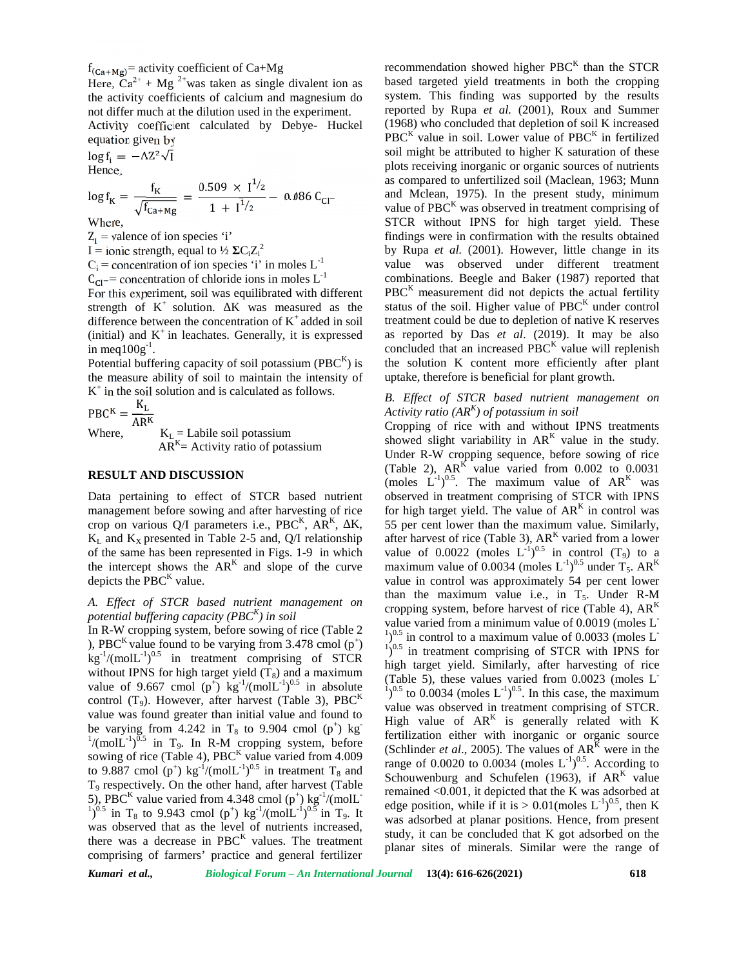$f_{(Ca+Mg)}$  activity coefficient of Ca+Mg

Here,  $Ca^{2+} + Mg^{2+}$  was taken as single divalent ion as the activity coefficients of calcium and magnesium do not differ much at the dilution used in the experiment.

Activity coefficient calculated by Debye- Huckel equation given by

 $\log f_i = -AZ^2\sqrt{I}$ Hence,

 $\log f_{\rm K} = \frac{t_{\rm K}}{\sqrt{f_{\rm Ca+Mg}}} = \frac{0.509 \times 1^{72}}{1 + 1^{1/2}} - 0.086 \text{ C}_{\rm Cl}$ 

Where,

 $Z_i$  = valence of ion species 'i'

I = ionic strength, equal to  $\frac{1}{2}$  C<sub>i</sub>Z<sub>i</sub><sup>2</sup>

 $C_i$  = concentration of ion species 'i' in moles  $L^{-1}$ <br> $C_{C1}$  = concentration of chloride ions in moles  $L^{-1}$ 

For this experiment, soil was equilibrated with different strength of  $K^+$  solution. K was measured as the difference between the concentration of  $K^+$  added in soil (initial) and  $K^+$  in leachates. Generally, it is expressed as rein meq $100g^{-1}$ .

Potential buffering capacity of soil potassium (PBC $<sup>K</sup>$ ) is the</sup> the measure ability of soil to maintain the intensity of K + in the soil solution and is calculated as follows.

 $PBC^{K} = \frac{K_{L}}{\Delta DK}$ 

Where,  $K_L =$  Labile soil potassium  $AR<sup>K</sup>$  = Activity ratio of potassium

#### **RESULT AND DISCUSSION**

Data pertaining to effect of STCR based nutrient management before sowing and after harvesting of rice crop on various  $Q/I$  parameters i.e., PBC<sup>K</sup>, AR<sup>K</sup>, K,  $K_L$  and  $K_X$  presented in Table 2-5 and, Q/I relationship of the same has been represented in Figs. 1-9 in which the intercept shows the  $AR<sup>K</sup>$  and slope of the curve max depicts the  $PBC<sup>K</sup>$  value.

*A. Effect of STCR based nutrient management on potential buffering capacity (PBC<sup>K</sup> ) in soil*

), PBC<sup>K</sup> value found to be varying from 3.478 cmol  $(p^+)$  $\text{kg}^{-1}/\text{(molL}^{-1})^{0.5}$  in treatment comprising of STCR  $\frac{1}{\text{high}}$  in without IPNS for high target yield  $(T_8)$  and a maximum<br>(Table 5), these values varied from 0.0023 (moles L value of 9.667 cmol ( $p^+$ ) kg<sup>-1</sup>/(molL<sup>-1</sup>)<sup>0.5</sup> in absolute  $\frac{1}{10.5}$ control  $(T_9)$ . However, after harvest (Table 3), PBC<sup>K</sup> value was found greater than initial value and found to be varying from 4.242 in T<sub>8</sub> to 9.904 cmol (p<sup>+</sup>) kg<sup>-1</sup>/(moll<sup>-1</sup>)<sup>0.5</sup> in T<sub>2</sub> In P<sub>2</sub>M cropping system before  $/(molL^{-1})^{0.5}$  in T<sub>9</sub>. In R-M cropping system, before  $\overline{(Sc)}$ sowing of rice (Table 4), PBC<sup>K</sup> value varied from  $4.009$ to 9.887 cmol (p<sup>+</sup>) kg<sup>-1</sup>/(molL<sup>-1</sup>)<sup>0.5</sup> in treatment T<sub>8</sub> and school T<sup>9</sup> respectively. On the other hand, after harvest (Table 5), PBC<sup>K</sup> value varied from 4.348 cmol (p<sup>+</sup>) kg<sup>-1</sup>/(molL<sup>-1</sup>)<sup>0.5</sup> in T<sub>9</sub>. It was observed that as the level of nutrients increased, there was a decrease in  $PBC^{K}$  values. The treatment comprising of farmers' practice and general fertilizer

recommendation showed higher  $PBC^{K}$  than the STCR based targeted yield treatments in both the cropping system. This finding was supported by the results reported by Rupa *et al.* (2001), Roux and Summer (1968) who concluded that depletion of soil K increased  $PBC^{K}$  value in soil. Lower value of  $PBC^{K}$  in fertilized soil might be attributed to higher K saturation of these plots receiving inorganic or organic sources of nutrients as compared to unfertilized soil (Maclean, 1963; Munn and Mclean, 1975). In the present study, minimum value of  $PBC<sup>K</sup>$  was observed in treatment comprising of STCR without IPNS for high target yield. These findings were in confirmation with the results obtained by Rupa *et al.* (2001). However, little change in its value was observed under different treatment combinations. Beegle and Baker (1987) reported that  $PBC<sup>K</sup>$  measurement did not depicts the actual fertility status of the soil. Higher value of  $PBC<sup>K</sup>$  under control treatment could be due to depletion of native K reserves as reported by Das *et al*. (2019). It may be also concluded that an increased  $PBC<sup>K</sup>$  value will replenish the solution K content more efficiently after plant uptake, therefore is beneficial for plant growth.

## *B. Effect of STCR based nutrient management on Activity ratio (AR<sup>K</sup> ) of potassium in soil*

potential buffering capacity (1 BC) in solution of the value varied from a minimum value of 0.0019 (moles L<sup>-</sup> value varied from a minimum value of 0.0019 (moles L<sup>-</sup> n R-W cropping system, before sowing of rice (Table 2)  $\binom{2}{1}$   $\binom{1}{0.5}$  in control to a maximum value of 0.0033 (moles L<sup>-</sup> 1)<sup>0.5</sup> in treatment comprising of STCR with IPNS for Cropping of rice with and without IPNS treatments showed slight variability in  $AR<sup>K</sup>$  value in the study. Under R-W cropping sequence, before sowing of rice (Table 2),  $AR<sup>K</sup>$  value varied from 0.002 to 0.0031 (moles  $L^{-1}$ )<sup>0.5</sup>. The maximum value of  $AR^{K}$  was observed in treatment comprising of STCR with IPNS for high target yield. The value of  $AR<sup>K</sup>$  in control was 55 per cent lower than the maximum value. Similarly, after harvest of rice (Table 3),  $AR^{K}$  varied from a lower value of 0.0022 (moles  $L^{-1}$ )<sup>0.5</sup> in control (T<sub>9</sub>) to a maximum value of 0.0034 (moles  $L^{-1}$ )<sup>0.5</sup> under T<sub>5</sub>. AR<sup>K</sup> value in control was approximately 54 per cent lower than the maximum value i.e., in  $T_5$ . Under R-M cropping system, before harvest of rice (Table 4),  $AR<sup>K</sup>$  $v^{10.5}$  in control to a maximum value of 0.0033 (moles L<sup>-1</sup>)<sup>0.5</sup> high target yield. Similarly, after harvesting of rice (Table 5), these values varied from 0.0023 (moles L<sup>-1</sup>)<sup>0.5</sup> to 0.0034 (moles L<sup>-1</sup>)<sup>0.5</sup>. In this case, the maximum value was observed in treatment comprising of STCR. High value of  $AR^{K}$  is generally related with K fertilization either with inorganic or organic source (Schlinder *et al.*, 2005). The values of  $AR^{K}$  were in the range of 0.0020 to 0.0034 (moles  $L^{-1}$ )<sup>0.5</sup>. According to Schouwenburg and Schufelen (1963), if  $AR<sup>K</sup>$  value remained <0.001, it depicted that the K was adsorbed at edge position, while if it is  $> 0.01$  (moles  $L^{-1}$ )<sup>0.5</sup>, then K was adsorbed at planar positions. Hence, from present study, it can be concluded that K got adsorbed on the planar sites of minerals. Similar were the range of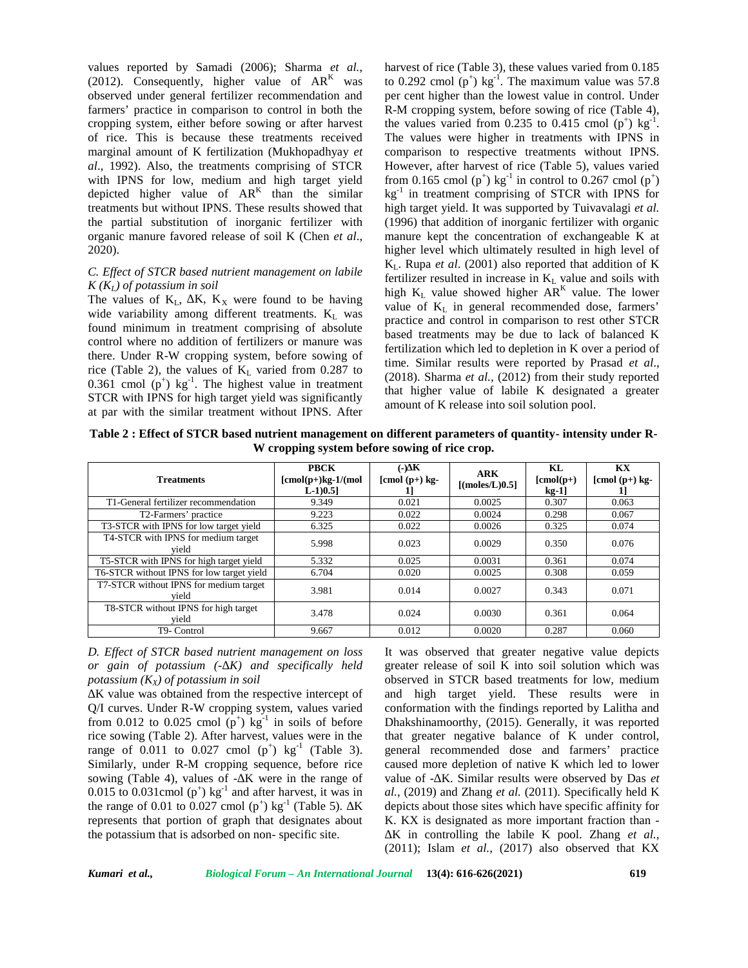values reported by Samadi (2006); Sharma *et al.*, (2012). Consequently, higher value of  $AR<sup>K</sup>$  was observed under general fertilizer recommendation and farmers' practice in comparison to control in both the cropping system, either before sowing or after harvest of rice. This is because these treatments received marginal amount of K fertilization (Mukhopadhyay *et al*., 1992). Also, the treatments comprising of STCR with IPNS for low, medium and high target yield depicted higher value of  $AR^{K}$  than the similar kg treatments but without IPNS. These results showed that the partial substitution of inorganic fertilizer with organic manure favored release of soil K (Chen *et al*., 2020).

## *C. Effect of STCR based nutrient management on labile K (KL) of potassium in soil*

The values of  $K_L$ , K,  $K_X$  were found to be having wide variability among different treatments.  $K_L$  was found minimum in treatment comprising of absolute control where no addition of fertilizers or manure was there. Under R-W cropping system, before sowing of rice (Table 2), the values of  $K_L$  varied from 0.287 to 0.361 cmol ( $p^+$ ) kg<sup>-1</sup>. The highest value in treatment STCR with IPNS for high target yield was significantly at par with the similar treatment without IPNS. After

harvest of rice (Table 3), these values varied from  $0.185$ to 0.292 cmol  $(p^+)$  kg<sup>-1</sup>. The maximum value was 57.8 per cent higher than the lowest value in control. Under R-M cropping system, before sowing of rice (Table 4), the values varied from 0.235 to 0.415 cmol  $(p^+)$  kg<sup>-1</sup>. The values were higher in treatments with IPNS in comparison to respective treatments without IPNS. However, after harvest of rice (Table 5), values varied from 0.165 cmol  $(p^+)$  kg<sup>-1</sup> in control to 0.267 cmol  $(p^+)$ kg-1 in treatment comprising of STCR with IPNS for high target yield. It was supported by Tuivavalagi *et al.* (1996) that addition of inorganic fertilizer with organic manure kept the concentration of exchangeable K at higher level which ultimately resulted in high level of  $K<sub>L</sub>$ . Rupa *et al.* (2001) also reported that addition of K fertilizer resulted in increase in  $K<sub>L</sub>$  value and soils with high  $K_L$  value showed higher  $AR^K$  value. The lower value of  $K<sub>L</sub>$  in general recommended dose, farmers' practice and control in comparison to rest other STCR based treatments may be due to lack of balanced K fertilization which led to depletion in K over a period of time. Similar results were reported by Prasad *et al*., (2018). Sharma *et al.,* (2012) from their study reported that higher value of labile K designated a greater amount of K release into soil solution pool.

**Table 2 : Effect of STCR based nutrient management on different parameters of quantity- intensity under R- W cropping system before sowing of rice crop.**

| <b>Treatments</b>                               | <b>PBCK</b><br>$[cmol(p+)kg-1/(mol)]$<br>$L-1)0.5$ ] | $(-)$ K<br>$[{\rm cmol (p+)}\, {\rm kg-}$<br>11 | <b>ARK</b><br>$\lceil$ (moles/L)0.5] | KL<br>$[{\rm cmol}(p+)$<br>$kg-1$ ] | KX<br>$[{\rm cmol (p+)}\, {\rm kg-}$ |
|-------------------------------------------------|------------------------------------------------------|-------------------------------------------------|--------------------------------------|-------------------------------------|--------------------------------------|
| T1-General fertilizer recommendation            | 9.349                                                | 0.021                                           | 0.0025                               | 0.307                               | 0.063                                |
| T2-Farmers' practice                            | 9.223                                                | 0.022                                           | 0.0024                               | 0.298                               | 0.067                                |
| T3-STCR with IPNS for low target yield          | 6.325                                                | 0.022                                           | 0.0026                               | 0.325                               | 0.074                                |
| T4-STCR with IPNS for medium target<br>vield    | 5.998                                                | 0.023                                           | 0.0029                               | 0.350                               | 0.076                                |
| T5-STCR with IPNS for high target yield         | 5.332                                                | 0.025                                           | 0.0031                               | 0.361                               | 0.074                                |
| T6-STCR without IPNS for low target yield       | 6.704                                                | 0.020                                           | 0.0025                               | 0.308                               | 0.059                                |
| T7-STCR without IPNS for medium target<br>vield | 3.981                                                | 0.014                                           | 0.0027                               | 0.343                               | 0.071                                |
| T8-STCR without IPNS for high target<br>vield   | 3.478                                                | 0.024                                           | 0.0030                               | 0.361                               | 0.064                                |
| T9- Control                                     | 9.667                                                | 0.012                                           | 0.0020                               | 0.287                               | 0.060                                |

*D. Effect of STCR based nutrient management on loss or gain of potassium (-∆K) and specifically held potassium (KX) of potassium in soil*

K value was obtained from the respective intercept of Q/I curves. Under R-W cropping system, values varied from 0.012 to 0.025 cmol  $(p^+)$  kg<sup>-1</sup> in soils of before Dha rice sowing (Table 2). After harvest, values were in the range of 0.011 to 0.027 cmol  $(p^+)$  kg<sup>-1</sup> (Table 3). Similarly, under R-M cropping sequence, before rice sowing (Table 4), values of - K were in the range of 0.015 to 0.031cmol ( $p^+$ ) kg<sup>-1</sup> and after harvest, it was in *al.*, ( the range of 0.01 to 0.027 cmol  $(p^+)$  kg<sup>-1</sup> (Table 5). K depicts a represents that portion of graph that designates about the potassium that is adsorbed on non- specific site.

It was observed that greater negative value depicts greater release of soil K into soil solution which was observed in STCR based treatments for low, medium and high target yield. These results were in conformation with the findings reported by Lalitha and Dhakshinamoorthy, (2015). Generally, it was reported that greater negative balance of K under control, general recommended dose and farmers' practice caused more depletion of native K which led to lower value of - K. Similar results were observed by Das et *al.,* (2019) and Zhang *et al.* (2011). Specifically held K depicts about those sites which have specific affinity for K. KX is designated as more important fraction than - ∆K in controlling the labile K pool. Zhang *et al.,* (2011); Islam *et al.*, (2017) also observed that KX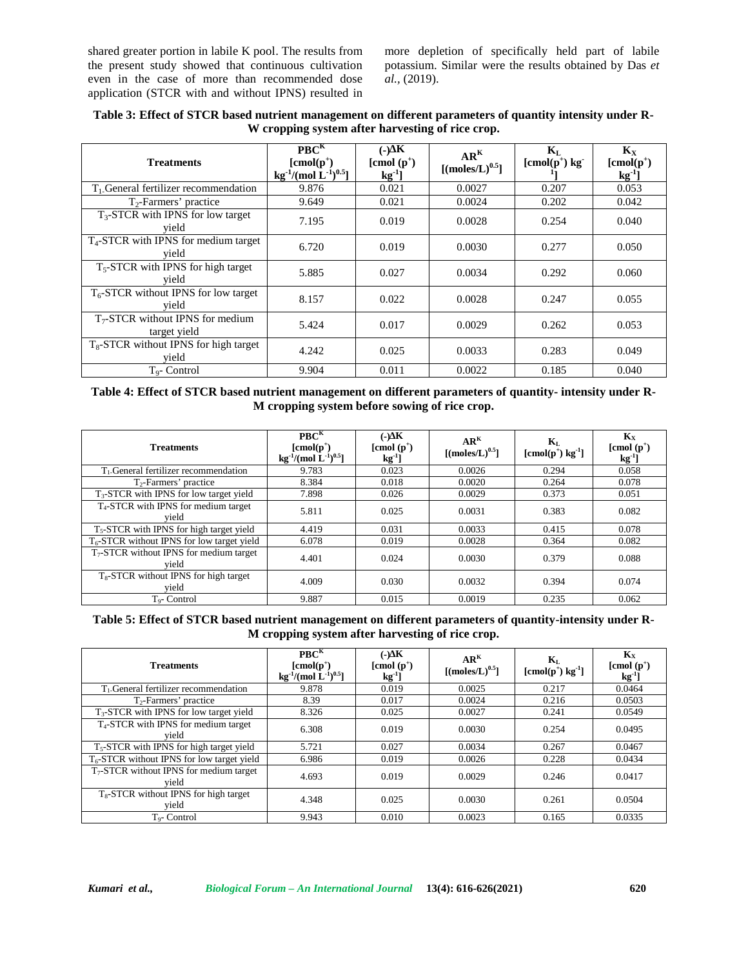shared greater portion in labile K pool. The results from the present study showed that continuous cultivation even in the case of more than recommended dose application (STCR with and without IPNS) resulted in more depletion of specifically held part of labile potassium. Similar were the results obtained by Das *et al.,* (2019).

| <b>Treatments</b>                                       | PBC <sup>K</sup><br>$[{\rm cmol}(p^+)$<br>kg <sup>-1</sup> /(mol $\rm L^{-1})^{0.5}$ ] | $\left(\cdot\right)$ K<br>$[{\rm cmol~(p^+)}]$<br>$kg^{-1}$ ] | AR <sup>K</sup><br>$[(moles/L)^{0.5}]$ | $\mathbf{K}_{\mathrm{L}}$<br>$[{\rm cmol}(p^+)$ kg <sup>-</sup> | $\mathbf{K}_{\mathbf{X}}$<br>$[{\rm cmol}(p^+)$<br>$kg^{-1}$ ] |
|---------------------------------------------------------|----------------------------------------------------------------------------------------|---------------------------------------------------------------|----------------------------------------|-----------------------------------------------------------------|----------------------------------------------------------------|
| T <sub>1</sub> .General fertilizer recommendation       | 9.876                                                                                  | 0.021                                                         | 0.0027                                 | 0.207                                                           | 0.053                                                          |
| $T_2$ -Farmers' practice                                | 9.649                                                                                  | 0.021                                                         | 0.0024                                 | 0.202                                                           | 0.042                                                          |
| $T_{3}$ -STCR with IPNS for low target<br>vield         | 7.195                                                                                  | 0.019                                                         | 0.0028                                 | 0.254                                                           | 0.040                                                          |
| $T_4$ -STCR with IPNS for medium target<br>vield        | 6.720                                                                                  | 0.019                                                         | 0.0030                                 | 0.277                                                           | 0.050                                                          |
| T <sub>5</sub> -STCR with IPNS for high target<br>vield | 5.885                                                                                  | 0.027                                                         | 0.0034                                 | 0.292                                                           | 0.060                                                          |
| $T_6$ -STCR without IPNS for low target<br>vield        | 8.157                                                                                  | 0.022                                                         | 0.0028                                 | 0.247                                                           | 0.055                                                          |
| $T_7$ -STCR without IPNS for medium<br>target yield     | 5.424                                                                                  | 0.017                                                         | 0.0029                                 | 0.262                                                           | 0.053                                                          |
| $T_8$ -STCR without IPNS for high target<br>vield       | 4.242                                                                                  | 0.025                                                         | 0.0033                                 | 0.283                                                           | 0.049                                                          |
| T <sub>o</sub> - Control                                | 9.904                                                                                  | 0.011                                                         | 0.0022                                 | 0.185                                                           | 0.040                                                          |

**Table 3: Effect of STCR based nutrient management on different parameters of quantity intensity under R- W cropping system after harvesting of rice crop.**

**Table 4: Effect of STCR based nutrient management on different parameters of quantity- intensity under R- M cropping system before sowing of rice crop.**

| <b>Treatments</b>                                          | PBC <sup>K</sup><br>$[{\rm cmol}(p^+)$<br>kg <sup>-1</sup> /(mol $L^{-1}$ ) <sup>0.5</sup> ] | $(-) K$<br>$[{\rm cmol~(p^+)}]$<br>$kg^{-1}$ | AR <sup>K</sup><br>$\lceil$ (moles/L) <sup>0.5</sup> ] | $\mathbf{K}_{\mathrm{L}}$<br>$[\text{cmol}(p^{\dagger}) \text{ kg}^{-1}]$ | $\mathbf{K}_{\mathbf{x}}$<br>$[{\rm cmol~(p^+)}]$<br>$kg^{-1}$ ] |
|------------------------------------------------------------|----------------------------------------------------------------------------------------------|----------------------------------------------|--------------------------------------------------------|---------------------------------------------------------------------------|------------------------------------------------------------------|
| $T_1$ . General fertilizer recommendation                  | 9.783                                                                                        | 0.023                                        | 0.0026                                                 | 0.294                                                                     | 0.058                                                            |
| $T2$ -Farmers' practice                                    | 8.384                                                                                        | 0.018                                        | 0.0020                                                 | 0.264                                                                     | 0.078                                                            |
| $T3-STCR$ with IPNS for low target yield                   | 7.898                                                                                        | 0.026                                        | 0.0029                                                 | 0.373                                                                     | 0.051                                                            |
| $T_4$ -STCR with IPNS for medium target<br>vield           | 5.811                                                                                        | 0.025                                        | 0.0031                                                 | 0.383                                                                     | 0.082                                                            |
| T <sub>5</sub> -STCR with IPNS for high target yield       | 4.419                                                                                        | 0.031                                        | 0.0033                                                 | 0.415                                                                     | 0.078                                                            |
| $T_6$ -STCR without IPNS for low target yield              | 6.078                                                                                        | 0.019                                        | 0.0028                                                 | 0.364                                                                     | 0.082                                                            |
| $T_7$ -STCR without IPNS for medium target<br>vield        | 4.401                                                                                        | 0.024                                        | 0.0030                                                 | 0.379                                                                     | 0.088                                                            |
| T <sub>8</sub> -STCR without IPNS for high target<br>vield | 4.009                                                                                        | 0.030                                        | 0.0032                                                 | 0.394                                                                     | 0.074                                                            |
| T <sub>o</sub> -Control                                    | 9.887                                                                                        | 0.015                                        | 0.0019                                                 | 0.235                                                                     | 0.062                                                            |

**Table 5: Effect of STCR based nutrient management on different parameters of quantity-intensity under R- M cropping system after harvesting of rice crop.**

| <b>Treatments</b>                                 | PBC <sup>K</sup><br>$[{\rm cmol}(p^+)$<br>kg <sup>-1</sup> /(mol $\rm \tilde{L}^{\text{-}1})^{0.5}$ ] | $\left(\text{-}\right)$ K<br>$[{\rm cmol~(p^+)}]$<br>$kg^{-1}$ ] | AR <sup>K</sup><br>[(moles/L) <sup>0.5</sup> ] | $\mathbf{K}_{\mathrm{L}}$<br>$[{\rm cmol}(p^{\dagger})\;{\rm kg}^{\dagger}]$ | $\mathbf{K}_{\mathbf{X}}$<br>$[{\rm cmol~(p^+)}]$<br>$kg^{-1}$ ] |
|---------------------------------------------------|-------------------------------------------------------------------------------------------------------|------------------------------------------------------------------|------------------------------------------------|------------------------------------------------------------------------------|------------------------------------------------------------------|
| $T1$ General fertilizer recommendation            | 9.878                                                                                                 | 0.019                                                            | 0.0025                                         | 0.217                                                                        | 0.0464                                                           |
| $T_2$ -Farmers' practice                          | 8.39                                                                                                  | 0.017                                                            | 0.0024                                         | 0.216                                                                        | 0.0503                                                           |
| $T_{3}$ -STCR with IPNS for low target yield      | 8.326                                                                                                 | 0.025                                                            | 0.0027                                         | 0.241                                                                        | 0.0549                                                           |
| $T_4$ -STCR with IPNS for medium target<br>vield  | 6.308                                                                                                 | 0.019                                                            | 0.0030                                         | 0.254                                                                        | 0.0495                                                           |
| $T5$ -STCR with IPNS for high target yield        | 5.721                                                                                                 | 0.027                                                            | 0.0034                                         | 0.267                                                                        | 0.0467                                                           |
| $T_6$ -STCR without IPNS for low target yield     | 6.986                                                                                                 | 0.019                                                            | 0.0026                                         | 0.228                                                                        | 0.0434                                                           |
| $T7-STCR$ without IPNS for medium target<br>vield | 4.693                                                                                                 | 0.019                                                            | 0.0029                                         | 0.246                                                                        | 0.0417                                                           |
| $T_8$ -STCR without IPNS for high target<br>vield | 4.348                                                                                                 | 0.025                                                            | 0.0030                                         | 0.261                                                                        | 0.0504                                                           |
| T <sub>o</sub> -Control                           | 9.943                                                                                                 | 0.010                                                            | 0.0023                                         | 0.165                                                                        | 0.0335                                                           |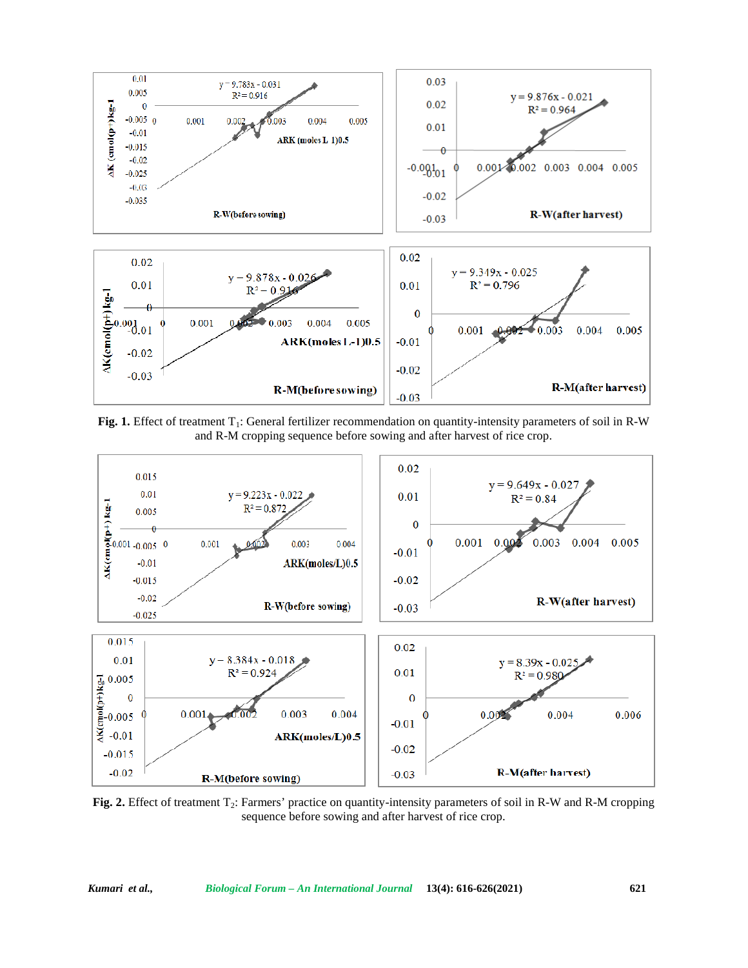

**Fig. 1.** Effect of treatment T<sub>1</sub>: General fertilizer recommendation on quantity-intensity parameters of soil in R-W and R-M cropping sequence before sowing and after harvest of rice crop.



**Fig. 2.** Effect of treatment T<sub>2</sub>: Farmers' practice on quantity-intensity parameters of soil in R-W and R-M cropping sequence before sowing and after harvest of rice crop.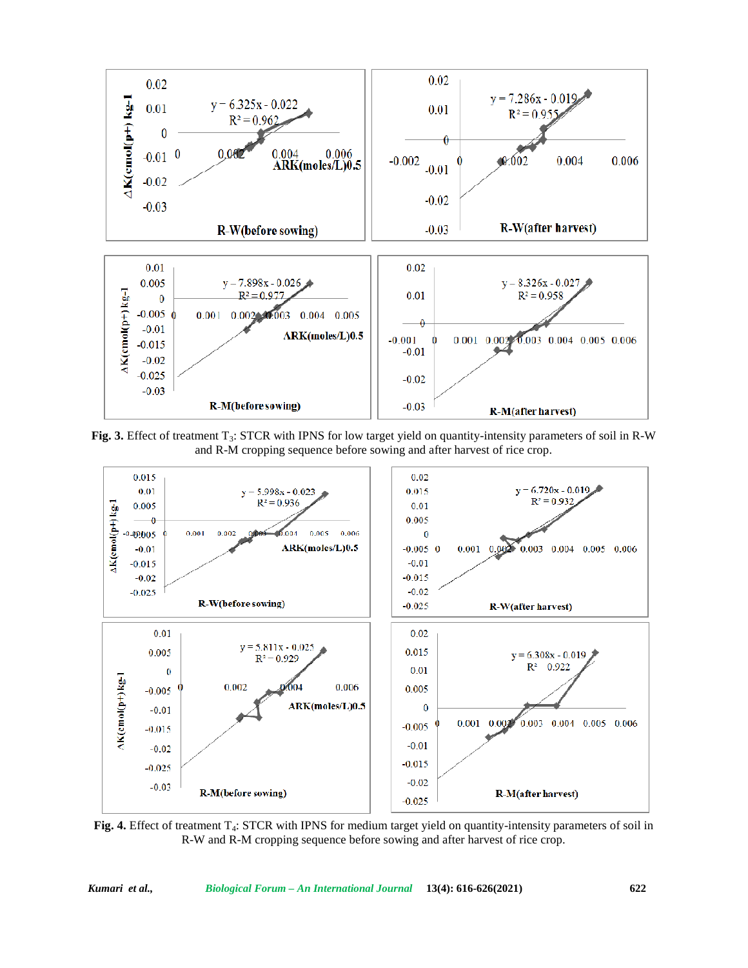

Fig. 3. Effect of treatment T<sub>3</sub>: STCR with IPNS for low target yield on quantity-intensity parameters of soil in R-W and R-M cropping sequence before sowing and after harvest of rice crop.



**Fig. 4.** Effect of treatment T<sub>4</sub>: STCR with IPNS for medium target yield on quantity-intensity parameters of soil in R-W and R-M cropping sequence before sowing and after harvest of rice crop.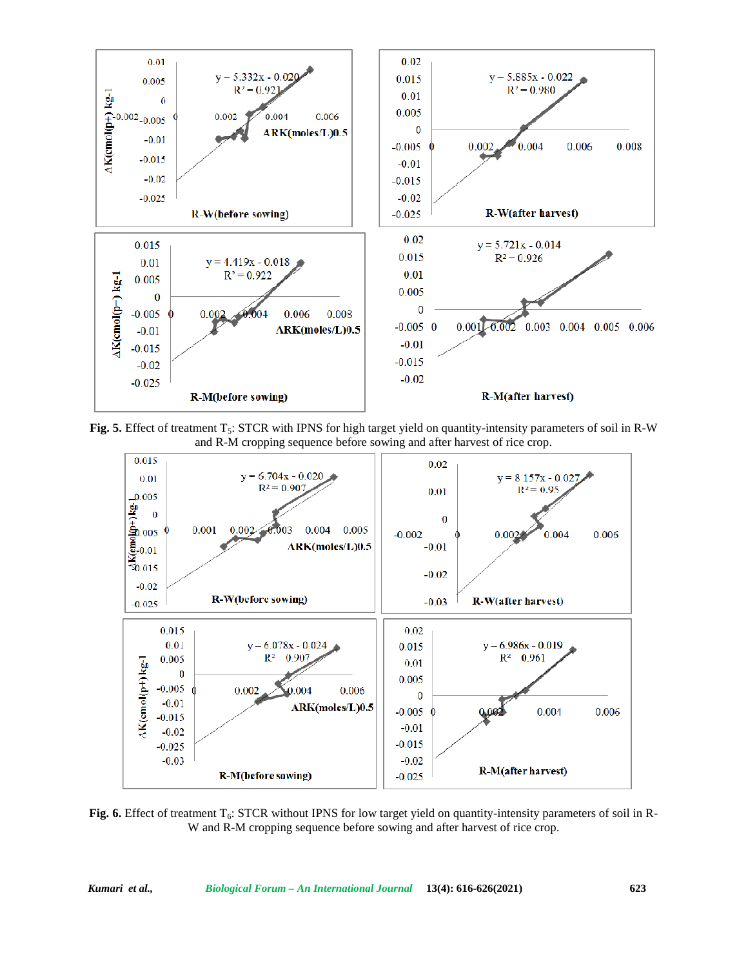

**Fig. 5.** Effect of treatment T<sub>5</sub>: STCR with IPNS for high target yield on quantity-intensity parameters of soil in R-W and R-M cropping sequence before sowing and after harvest of rice crop.



Fig. 6. Effect of treatment T<sub>6</sub>: STCR without IPNS for low target yield on quantity-intensity parameters of soil in R-W and R-M cropping sequence before sowing and after harvest of rice crop.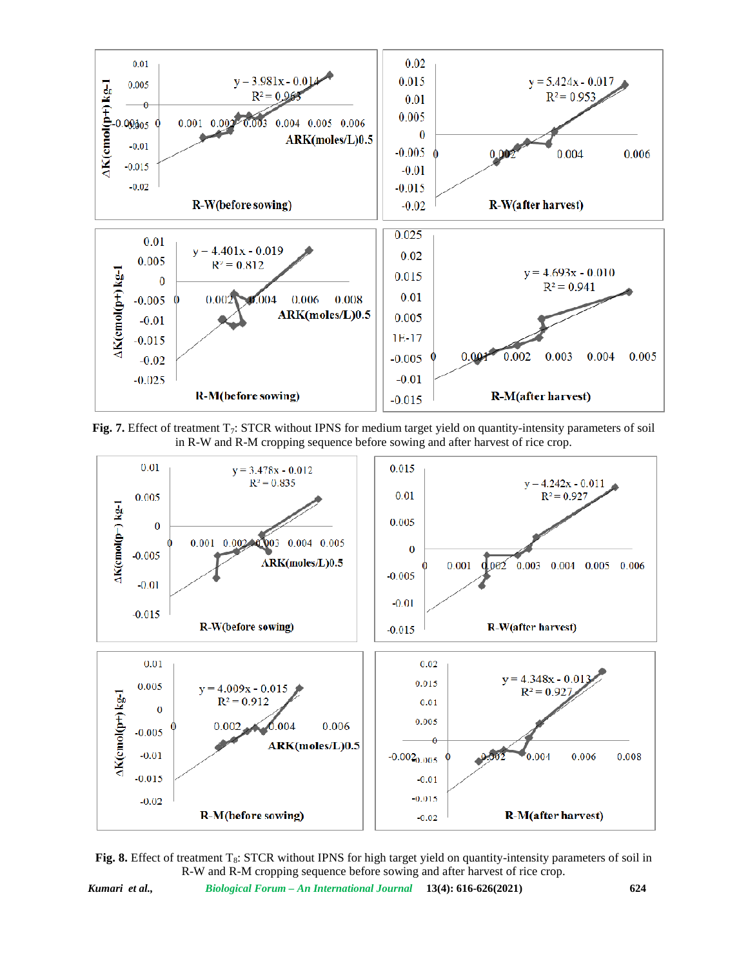

**Fig. 7.** Effect of treatment T<sub>7</sub>: STCR without IPNS for medium target yield on quantity-intensity parameters of soil in R-W and R-M cropping sequence before sowing and after harvest of rice crop.



**Fig. 8.** Effect of treatment T<sub>8</sub>: STCR without IPNS for high target yield on quantity-intensity parameters of soil in R-W and R-M cropping sequence before sowing and after harvest of rice crop.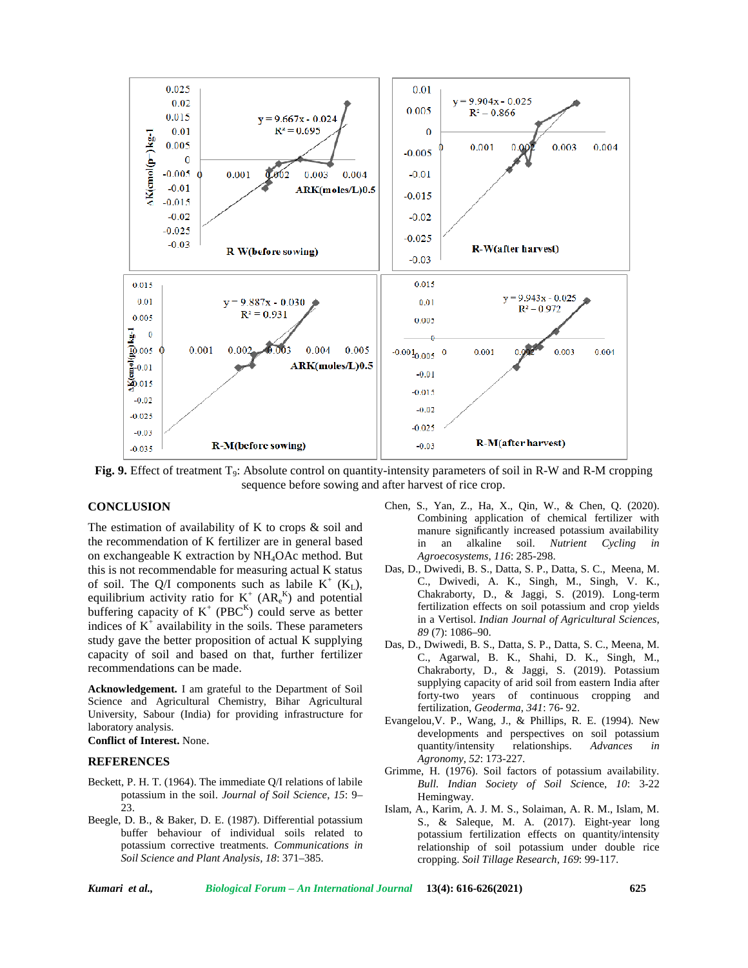

**Fig. 9.** Effect of treatment T<sub>9</sub>: Absolute control on quantity-intensity parameters of soil in R-W and R-M cropping sequence before sowing and after harvest of rice crop.

#### **CONCLUSION**

The estimation of availability of K to crops  $\&$  soil and the recommendation of K fertilizer are in general based on exchangeable K extraction by NH4OAc method. But this is not recommendable for measuring actual K status of soil. The Q/I components such as labile  $K^+$  (K<sub>L</sub>), equilibrium activity ratio for  $K^+$  (AR $_{e}^{K}$ ) and potential buffering capacity of  $K^+$  (PBC<sup>K</sup>) could serve as better indices of  $K^+$  availability in the soils. These parameters study gave the better proposition of actual K supplying capacity of soil and based on that, further fertilizer recommendations can be made.

**Acknowledgement.** I am grateful to the Department of Soil Science and Agricultural Chemistry, Bihar Agricultural University, Sabour (India) for providing infrastructure for laboratory analysis.

**Conflict of Interest.** None.

#### **REFERENCES**

- Beckett, P. H. T. (1964). The immediate Q/I relations of labile potassium in the soil. *Journal of Soil Science*, *15*: 9– 23.
- Beegle, D. B., & Baker, D. E. (1987). Differential potassium buffer behaviour of individual soils related to potassium corrective treatments. *Communications in Soil Science and Plant Analysis, 18*: 371–385.
- Chen, S., Yan, Z., Ha, X., Qin, W., & Chen, Q. (2020). Combining application of chemical fertilizer with manure significantly increased potassium availability in an alkaline soil. *Nutrient Cycling in Agroecosystems*, *116*: 285-298.
- Das, D., Dwivedi, B. S., Datta, S. P., Datta, S. C., Meena, M. C., Dwivedi, A. K., Singh, M., Singh, V. K., Chakraborty, D., & Jaggi, S. (2019). Long-term fertilization effects on soil potassium and crop yields in a Vertisol. *Indian Journal of Agricultural Sciences*, *89* (7): 1086–90.
- Das, D., Dwiwedi, B. S., Datta, S. P., Datta, S. C., Meena, M. C., Agarwal, B. K., Shahi, D. K., Singh, M., Chakraborty, D., & Jaggi, S. (2019). Potassium supplying capacity of arid soil from eastern India after forty-two years of continuous cropping and fertilization, *Geoderma*, *341*: 76- 92.
- Evangelou,V. P., Wang, J., & Phillips, R. E. (1994). New developments and perspectives on soil potassium<br>quantity/intensity relationships. Advances in quantity/intensity relationships. *Advances in Agronomy*, *52*: 173-227.
- Grimme, H. (1976). Soil factors of potassium availability. *Bull. Indian Society of Soil Sci*ence, *10*: 3-22 Hemingway.
- Islam, A., Karim, A. J. M. S., Solaiman, A. R. M., Islam, M. S., & Saleque, M. A. (2017). Eight-year long potassium fertilization effects on quantity/intensity relationship of soil potassium under double rice cropping. *Soil Tillage Research*, *169*: 99-117.